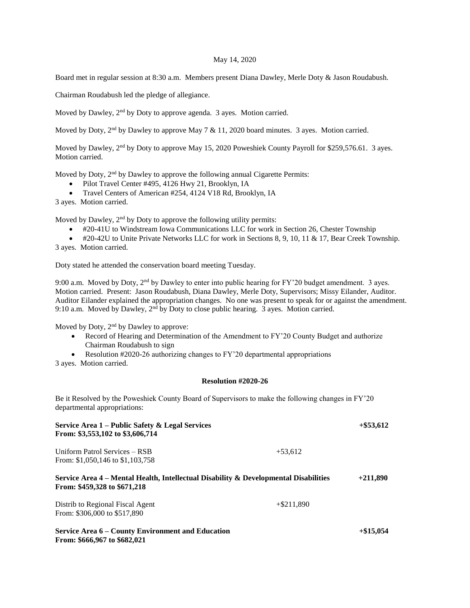#### May 14, 2020

Board met in regular session at 8:30 a.m. Members present Diana Dawley, Merle Doty & Jason Roudabush.

Chairman Roudabush led the pledge of allegiance.

Moved by Dawley, 2<sup>nd</sup> by Doty to approve agenda. 3 ayes. Motion carried.

Moved by Doty, 2<sup>nd</sup> by Dawley to approve May 7 & 11, 2020 board minutes. 3 ayes. Motion carried.

Moved by Dawley, 2<sup>nd</sup> by Doty to approve May 15, 2020 Poweshiek County Payroll for \$259,576.61. 3 ayes. Motion carried.

Moved by Doty, 2<sup>nd</sup> by Dawley to approve the following annual Cigarette Permits:

- Pilot Travel Center #495, 4126 Hwy 21, Brooklyn, IA
- Travel Centers of American #254, 4124 V18 Rd, Brooklyn, IA

3 ayes. Motion carried.

Moved by Dawley,  $2<sup>nd</sup>$  by Doty to approve the following utility permits:

#20-41U to Windstream Iowa Communications LLC for work in Section 26, Chester Township

 $\bullet$  #20-42U to Unite Private Networks LLC for work in Sections 8, 9, 10, 11 & 17, Bear Creek Township. 3 ayes. Motion carried.

Doty stated he attended the conservation board meeting Tuesday.

9:00 a.m. Moved by Doty,  $2<sup>nd</sup>$  by Dawley to enter into public hearing for FY'20 budget amendment. 3 ayes. Motion carried. Present: Jason Roudabush, Diana Dawley, Merle Doty, Supervisors; Missy Eilander, Auditor. Auditor Eilander explained the appropriation changes. No one was present to speak for or against the amendment. 9:10 a.m. Moved by Dawley, 2<sup>nd</sup> by Doty to close public hearing. 3 ayes. Motion carried.

Moved by Doty, 2nd by Dawley to approve:

- Record of Hearing and Determination of the Amendment to FY'20 County Budget and authorize Chairman Roudabush to sign
- Resolution #2020-26 authorizing changes to FY'20 departmental appropriations

3 ayes. Motion carried.

#### **Resolution #2020-26**

Be it Resolved by the Poweshiek County Board of Supervisors to make the following changes in FY'20 departmental appropriations:

| Service Area 1 – Public Safety & Legal Services<br>From: \$3,553,102 to \$3,606,714                                    |               | $+$ \$53.612 |
|------------------------------------------------------------------------------------------------------------------------|---------------|--------------|
| Uniform Patrol Services – RSB<br>From: \$1,050,146 to \$1,103,758                                                      | $+53.612$     |              |
| Service Area $4$ – Mental Health, Intellectual Disability & Developmental Disabilities<br>From: \$459,328 to \$671,218 |               | $+211,890$   |
| Distrib to Regional Fiscal Agent<br>From: \$306,000 to \$517,890                                                       | $+$ \$211.890 |              |
| Service Area 6 – County Environment and Education<br>From: \$666,967 to \$682,021                                      |               | $+\$15,054$  |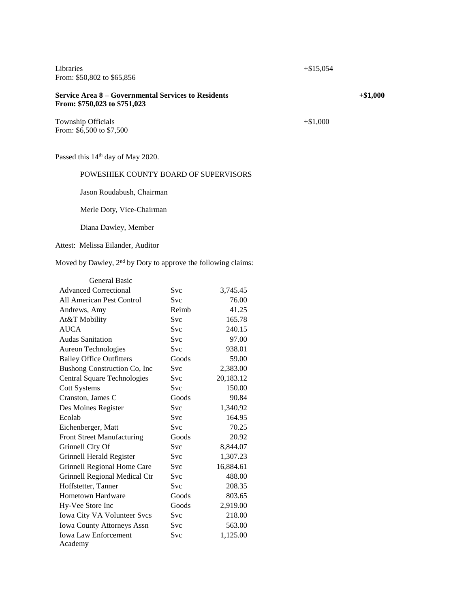$Libraries$   $+$ \$15,054 From: \$50,802 to \$65,856

# **Service Area 8 – Governmental Services to Residents +\$1,000 From: \$750,023 to \$751,023**

Township Officials  $+\$1,000$ From: \$6,500 to \$7,500

Passed this  $14<sup>th</sup>$  day of May 2020.

# POWESHIEK COUNTY BOARD OF SUPERVISORS

Jason Roudabush, Chairman

Merle Doty, Vice-Chairman

Diana Dawley, Member

Attest: Melissa Eilander, Auditor

Moved by Dawley, 2nd by Doty to approve the following claims:

| <b>General Basic</b>               |            |           |
|------------------------------------|------------|-----------|
| <b>Advanced Correctional</b>       | Svc        | 3,745.45  |
| All American Pest Control          | Svc        | 76.00     |
| Andrews, Amy                       | Reimb      | 41.25     |
| At&T Mobility                      | <b>Svc</b> | 165.78    |
| <b>AUCA</b>                        | <b>Svc</b> | 240.15    |
| <b>Audas Sanitation</b>            | Svc        | 97.00     |
| Aureon Technologies                | Svc        | 938.01    |
| <b>Bailey Office Outfitters</b>    | Goods      | 59.00     |
| Bushong Construction Co, Inc.      | Svc        | 2,383.00  |
| <b>Central Square Technologies</b> | Svc        | 20,183.12 |
| <b>Cott Systems</b>                | <b>Svc</b> | 150.00    |
| Cranston, James C                  | Goods      | 90.84     |
| Des Moines Register                | <b>Svc</b> | 1,340.92  |
| Ecolab                             | <b>Svc</b> | 164.95    |
| Eichenberger, Matt                 | Svc        | 70.25     |
| <b>Front Street Manufacturing</b>  | Goods      | 20.92     |
| Grinnell City Of                   | Svc        | 8,844.07  |
| Grinnell Herald Register           | Svc        | 1,307.23  |
| Grinnell Regional Home Care        | Svc        | 16,884.61 |
| Grinnell Regional Medical Ctr      | <b>Svc</b> | 488.00    |
| Hoffstetter, Tanner                | Svc        | 208.35    |
| Hometown Hardware                  | Goods      | 803.65    |
| Hy-Vee Store Inc                   | Goods      | 2,919.00  |
| Iowa City VA Volunteer Svcs        | Svc        | 218.00    |
| <b>Iowa County Attorneys Assn</b>  | Svc        | 563.00    |
| <b>Iowa Law Enforcement</b>        | <b>Svc</b> | 1,125.00  |
| Academy                            |            |           |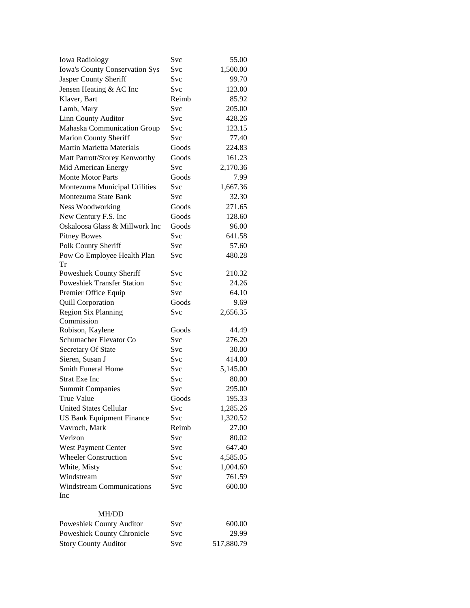| <b>Iowa Radiology</b>             | Svc        | 55.00      |
|-----------------------------------|------------|------------|
| Iowa's County Conservation Sys    | Svc        | 1,500.00   |
| Jasper County Sheriff             | <b>Svc</b> | 99.70      |
| Jensen Heating & AC Inc           | Svc        | 123.00     |
| Klaver, Bart                      | Reimb      | 85.92      |
| Lamb, Mary                        | Svc        | 205.00     |
| Linn County Auditor               | Svc        | 428.26     |
| Mahaska Communication Group       | <b>Svc</b> | 123.15     |
| Marion County Sheriff             | Svc        | 77.40      |
| <b>Martin Marietta Materials</b>  | Goods      | 224.83     |
| Matt Parrott/Storey Kenworthy     | Goods      | 161.23     |
| Mid American Energy               | Svc        | 2,170.36   |
| <b>Monte Motor Parts</b>          | Goods      | 7.99       |
| Montezuma Municipal Utilities     | Svc        | 1,667.36   |
| Montezuma State Bank              | Svc        | 32.30      |
| Ness Woodworking                  | Goods      | 271.65     |
| New Century F.S. Inc              | Goods      | 128.60     |
| Oskaloosa Glass & Millwork Inc    | Goods      | 96.00      |
| <b>Pitney Bowes</b>               | Svc        | 641.58     |
| Polk County Sheriff               | Svc        | 57.60      |
| Pow Co Employee Health Plan       | Svc        | 480.28     |
| Tr                                |            |            |
| Poweshiek County Sheriff          | Svc        | 210.32     |
| <b>Poweshiek Transfer Station</b> | Svc        | 24.26      |
| Premier Office Equip              | Svc        | 64.10      |
| <b>Quill Corporation</b>          | Goods      | 9.69       |
| Region Six Planning               | Svc        | 2,656.35   |
| Commission                        |            |            |
| Robison, Kaylene                  | Goods      | 44.49      |
| Schumacher Elevator Co            | Svc        | 276.20     |
| Secretary Of State                | <b>Svc</b> | 30.00      |
| Sieren, Susan J                   | Svc        | 414.00     |
| <b>Smith Funeral Home</b>         | Svc        | 5,145.00   |
| <b>Strat Exe Inc</b>              | Svc        | 80.00      |
| <b>Summit Companies</b>           | Svc        | 295.00     |
| True Value                        | Goods      | 195.33     |
| <b>United States Cellular</b>     | Svc        | 1,285.26   |
| <b>US Bank Equipment Finance</b>  | <b>Svc</b> | 1,320.52   |
| Vavroch, Mark                     | Reimb      | 27.00      |
| Verizon                           | <b>Svc</b> | 80.02      |
| West Payment Center               | Svc        | 647.40     |
| <b>Wheeler Construction</b>       | Svc        | 4,585.05   |
| White, Misty                      | Svc        | 1,004.60   |
| Windstream                        | Svc        | 761.59     |
| <b>Windstream Communications</b>  | <b>Svc</b> | 600.00     |
| Inc                               |            |            |
|                                   |            |            |
| <b>MH/DD</b>                      |            |            |
| Poweshiek County Auditor          | Svc        | 600.00     |
| Poweshiek County Chronicle        | Svc        | 29.99      |
| <b>Story County Auditor</b>       | Svc        | 517,880.79 |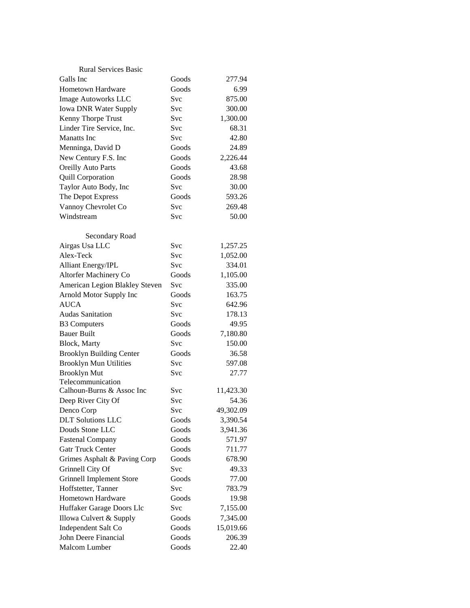| <b>Rural Services Basic</b>     |            |           |
|---------------------------------|------------|-----------|
| Galls Inc                       | Goods      | 277.94    |
| Hometown Hardware               | Goods      | 6.99      |
| <b>Image Autoworks LLC</b>      | Svc        | 875.00    |
| <b>Iowa DNR Water Supply</b>    | Svc        | 300.00    |
| Kenny Thorpe Trust              | Svc        | 1,300.00  |
| Linder Tire Service, Inc.       | <b>Svc</b> | 68.31     |
| <b>Manatts</b> Inc              | Svc        | 42.80     |
| Menninga, David D               | Goods      | 24.89     |
| New Century F.S. Inc            | Goods      | 2,226.44  |
| <b>Oreilly Auto Parts</b>       | Goods      | 43.68     |
| <b>Quill Corporation</b>        | Goods      | 28.98     |
| Taylor Auto Body, Inc           | <b>Svc</b> | 30.00     |
| The Depot Express               | Goods      | 593.26    |
| Vannoy Chevrolet Co             | Svc        | 269.48    |
| Windstream                      | <b>Svc</b> | 50.00     |
|                                 |            |           |
| Secondary Road                  |            |           |
| Airgas Usa LLC                  | Svc        | 1,257.25  |
| Alex-Teck                       | <b>Svc</b> | 1,052.00  |
| <b>Alliant Energy/IPL</b>       | <b>Svc</b> | 334.01    |
| Altorfer Machinery Co           | Goods      | 1,105.00  |
| American Legion Blakley Steven  | Svc        | 335.00    |
| Arnold Motor Supply Inc         | Goods      | 163.75    |
| <b>AUCA</b>                     | <b>Svc</b> | 642.96    |
| <b>Audas Sanitation</b>         | <b>Svc</b> | 178.13    |
| <b>B3</b> Computers             | Goods      | 49.95     |
| <b>Bauer Built</b>              | Goods      | 7,180.80  |
| Block, Marty                    | <b>Svc</b> | 150.00    |
| <b>Brooklyn Building Center</b> | Goods      | 36.58     |
| <b>Brooklyn Mun Utilities</b>   | Svc        | 597.08    |
| <b>Brooklyn Mut</b>             | Svc        | 27.77     |
| Telecommunication               |            |           |
| Calhoun-Burns & Assoc Inc       | Svc        | 11,423.30 |
| Deep River City Of              | Svc        | 54.36     |
| Denco Corp                      | Svc        | 49,302.09 |
| <b>DLT</b> Solutions LLC        | Goods      | 3,390.54  |
| Douds Stone LLC                 | Goods      | 3,941.36  |
| <b>Fastenal Company</b>         | Goods      | 571.97    |
| <b>Gatr Truck Center</b>        | Goods      | 711.77    |
| Grimes Asphalt & Paving Corp    | Goods      | 678.90    |
| Grinnell City Of                | Svc        | 49.33     |
| <b>Grinnell Implement Store</b> | Goods      | 77.00     |
| Hoffstetter, Tanner             | Svc        | 783.79    |
| Hometown Hardware               | Goods      | 19.98     |
| Huffaker Garage Doors Llc       | Svc        | 7,155.00  |
| Illowa Culvert & Supply         | Goods      | 7,345.00  |
| Independent Salt Co             | Goods      | 15,019.66 |
| John Deere Financial            | Goods      | 206.39    |
| Malcom Lumber                   | Goods      | 22.40     |
|                                 |            |           |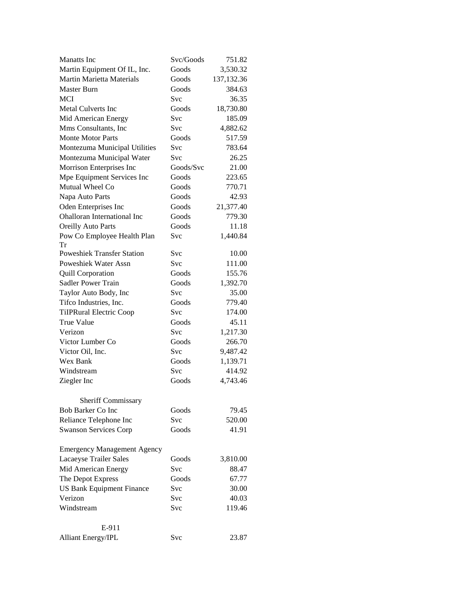| <b>Manatts</b> Inc                 | Svc/Goods  | 751.82     |
|------------------------------------|------------|------------|
| Martin Equipment Of IL, Inc.       | Goods      | 3,530.32   |
| <b>Martin Marietta Materials</b>   | Goods      | 137,132.36 |
| <b>Master Burn</b>                 | Goods      | 384.63     |
| <b>MCI</b>                         | <b>Svc</b> | 36.35      |
| <b>Metal Culverts Inc</b>          | Goods      | 18,730.80  |
| Mid American Energy                | <b>Svc</b> | 185.09     |
| Mms Consultants, Inc               | Svc        | 4,882.62   |
| <b>Monte Motor Parts</b>           | Goods      | 517.59     |
| Montezuma Municipal Utilities      | Svc        | 783.64     |
| Montezuma Municipal Water          | Svc        | 26.25      |
| Morrison Enterprises Inc           | Goods/Svc  | 21.00      |
| Mpe Equipment Services Inc         | Goods      | 223.65     |
| Mutual Wheel Co                    | Goods      | 770.71     |
| Napa Auto Parts                    | Goods      | 42.93      |
| Oden Enterprises Inc               | Goods      | 21,377.40  |
| Ohalloran International Inc        | Goods      | 779.30     |
| <b>Oreilly Auto Parts</b>          | Goods      | 11.18      |
| Pow Co Employee Health Plan<br>Tr  | Svc        | 1,440.84   |
| <b>Poweshiek Transfer Station</b>  | Svc        | 10.00      |
| <b>Poweshiek Water Assn</b>        | Svc        | 111.00     |
| <b>Quill Corporation</b>           | Goods      | 155.76     |
| <b>Sadler Power Train</b>          | Goods      | 1,392.70   |
| Taylor Auto Body, Inc              | Svc        | 35.00      |
| Tifco Industries, Inc.             | Goods      | 779.40     |
| <b>TiIPRural Electric Coop</b>     | Svc        | 174.00     |
| <b>True Value</b>                  | Goods      | 45.11      |
| Verizon                            | Svc        | 1,217.30   |
| Victor Lumber Co                   | Goods      | 266.70     |
| Victor Oil, Inc.                   | Svc        | 9,487.42   |
| Wex Bank                           | Goods      | 1,139.71   |
| Windstream                         | Svc        | 414.92     |
| Ziegler Inc                        | Goods      | 4,743.46   |
| Sheriff Commissary                 |            |            |
| <b>Bob Barker Co Inc</b>           | Goods      | 79.45      |
| Reliance Telephone Inc             | <b>Svc</b> | 520.00     |
| <b>Swanson Services Corp</b>       | Goods      | 41.91      |
| <b>Emergency Management Agency</b> |            |            |
| Lacaeyse Trailer Sales             | Goods      | 3,810.00   |
| Mid American Energy                | Svc        | 88.47      |
| The Depot Express                  | Goods      | 67.77      |
| <b>US Bank Equipment Finance</b>   | <b>Svc</b> | 30.00      |
| Verizon                            | Svc        | 40.03      |
| Windstream                         | Svc        | 119.46     |
| E-911                              |            |            |
| <b>Alliant Energy/IPL</b>          | Svc        | 23.87      |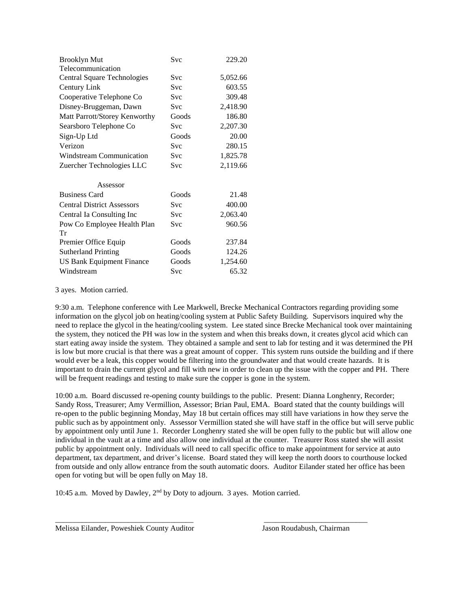| <b>Brooklyn Mut</b>               | Svc   | 229.20   |
|-----------------------------------|-------|----------|
| Telecommunication                 |       |          |
| Central Square Technologies       | Svc   | 5,052.66 |
| Century Link                      | Svc   | 603.55   |
| Cooperative Telephone Co          | Svc   | 309.48   |
| Disney-Bruggeman, Dawn            | Svc   | 2,418.90 |
| Matt Parrott/Storey Kenworthy     | Goods | 186.80   |
| Searsboro Telephone Co            | Svc   | 2,207.30 |
| Sign-Up Ltd                       | Goods | 20.00    |
| Verizon                           | Svc   | 280.15   |
| Windstream Communication          | Svc   | 1,825.78 |
| Zuercher Technologies LLC         | Svc   | 2,119.66 |
| Assessor                          |       |          |
| <b>Business Card</b>              | Goods | 21.48    |
| <b>Central District Assessors</b> | Svc   | 400.00   |
| Central Ia Consulting Inc         | Svc   | 2,063.40 |
| Pow Co Employee Health Plan       | Svc   | 960.56   |
| Tr                                |       |          |
| Premier Office Equip              | Goods | 237.84   |
| <b>Sutherland Printing</b>        | Goods | 124.26   |
| <b>US Bank Equipment Finance</b>  | Goods | 1,254.60 |
| Windstream                        | Svc   | 65.32    |

3 ayes. Motion carried.

9:30 a.m. Telephone conference with Lee Markwell, Brecke Mechanical Contractors regarding providing some information on the glycol job on heating/cooling system at Public Safety Building. Supervisors inquired why the need to replace the glycol in the heating/cooling system. Lee stated since Brecke Mechanical took over maintaining the system, they noticed the PH was low in the system and when this breaks down, it creates glycol acid which can start eating away inside the system. They obtained a sample and sent to lab for testing and it was determined the PH is low but more crucial is that there was a great amount of copper. This system runs outside the building and if there would ever be a leak, this copper would be filtering into the groundwater and that would create hazards. It is important to drain the current glycol and fill with new in order to clean up the issue with the copper and PH. There will be frequent readings and testing to make sure the copper is gone in the system.

10:00 a.m. Board discussed re-opening county buildings to the public. Present: Dianna Longhenry, Recorder; Sandy Ross, Treasurer; Amy Vermillion, Assessor; Brian Paul, EMA. Board stated that the county buildings will re-open to the public beginning Monday, May 18 but certain offices may still have variations in how they serve the public such as by appointment only. Assessor Vermillion stated she will have staff in the office but will serve public by appointment only until June 1. Recorder Longhenry stated she will be open fully to the public but will allow one individual in the vault at a time and also allow one individual at the counter. Treasurer Ross stated she will assist public by appointment only. Individuals will need to call specific office to make appointment for service at auto department, tax department, and driver's license. Board stated they will keep the north doors to courthouse locked from outside and only allow entrance from the south automatic doors. Auditor Eilander stated her office has been open for voting but will be open fully on May 18.

10:45 a.m. Moved by Dawley, 2nd by Doty to adjourn. 3 ayes. Motion carried.

\_\_\_\_\_\_\_\_\_\_\_\_\_\_\_\_\_\_\_\_\_\_\_\_\_\_\_\_\_\_\_\_\_\_\_\_ \_\_\_\_\_\_\_\_\_\_\_\_\_\_\_\_\_\_\_\_\_\_\_\_\_\_\_

Melissa Eilander, Poweshiek County Auditor Jason Roudabush, Chairman